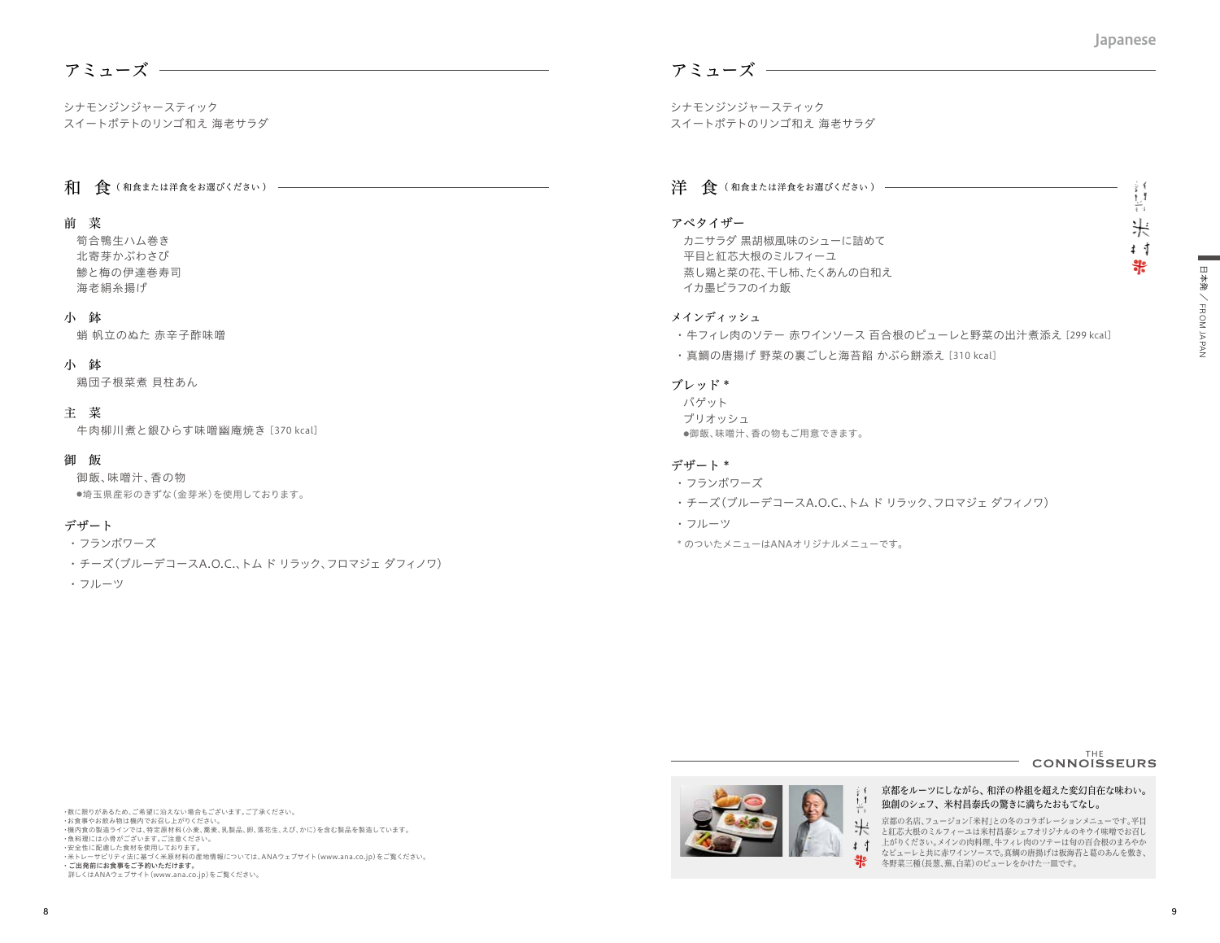÷ ( t.I  $\overline{1}$ 米  $\ddagger$   $\ddagger$ 뽂

# アミューズ

シナモンジンジャースティック スイートポテトのリンゴ和え 海老サラダ

# 和 食(和食または洋食をお選びください) -

# 前 菜

筍合鴨生ハム巻き 北寄芽かぶわさび 鯵と梅の伊達巻寿司 海老絹糸揚げ

#### 小 鉢

蛸 帆立のぬた 赤辛子酢味噌

# 小 鉢

鶏団子根菜煮 貝柱あん

# 主 菜

牛肉柳川煮と銀ひらす味噌幽庵焼き [370 kcal]

# 御 飯

御飯、味噌汁、香の物 ●埼玉県産彩のきずな(金芽米)を使用しております。

# デザート

・ フランボワーズ

- ・ チーズ(ブルーデコースA.O.C.、トム ド リラック、フロマジェ ダフィノワ)
- ・ フルーツ

# アミューズ

シナモンジンジャースティック スイートポテトのリンゴ和え 海老サラダ

# 洋 食 (和食または洋食をお選びください)

# アペタイザー

カニサラダ 黒胡椒風味のシューに詰めて 平目と紅芯大根のミルフィーユ 蒸し鶏と菜の花、干し柿、たくあんの白和え イカ墨ピラフのイカ飯

# メインディッシュ

- ・ 牛フィレ肉のソテー 赤ワインソース 百合根のピューレと野菜の出汁煮添え [299 kcal]
- ・ 真鯛の唐揚げ 野菜の裏ごしと海苔餡 かぶら餅添え [310 kcal]

#### ブレッド \*

バゲット ブリオッシュ ●御飯、味噌汁、香の物もご用意できます。

# デザート \*

- ・ フランボワーズ
- ・ チーズ(ブルーデコースA.O.C.、トム ド リラック、フロマジェ ダフィノワ)
- ・ フルーツ
- \* のついたメニューはANAオリジナルメニューです。



#### ・数に限りがあるため、ご希望に沿えない場合もございます。ご了承ください。 - ※には*う。ました*こ、こ。』上に出たし、。<br>・お食事やお飲み物は機内でお召し上がりください。 ・機内食の製造ラインでは、特定原材料(小麦、蕎麦、乳製品、卵、落花生、えび、かに)を含む製品を製造しています。 ・魚料理には小骨がございます。ご注意ください。 ・安全性に配慮した食材を使用しております。 ・米トレーサビリティ法に基づく米原材料の産地情報については、ANAウェブサイト(www.ana.co.jp)をご覧ください。 ・ ご出発前にお食事をご予約いただけます。 詳しくはANAウェブサイト(www.ana.co.jp)をご覧ください。



#### 京都をルーツにしながら、和洋の枠組を超えた変幻自在な味わい。 独創のシェフ、米村昌泰氏の驚きに満ちたおもてなし。

京都の名店、フュージョン「米村」との冬のコラボレーションメニューです。平目 ールトリーンのコードです。<br>こ紅芯大根のミルフィーユは米村昌泰シェフオリジナルのキウイ味噌でお召し 上がりください。メインの肉料理、牛フィレ肉のソテーは旬の百合根のまろやか なピューレと共に赤ワインソースで。真鯛の唐揚げは板海苔と葛のあんを敷き、 冬野菜三種(長葱、蕪、白菜)のピューレをかけた一皿です。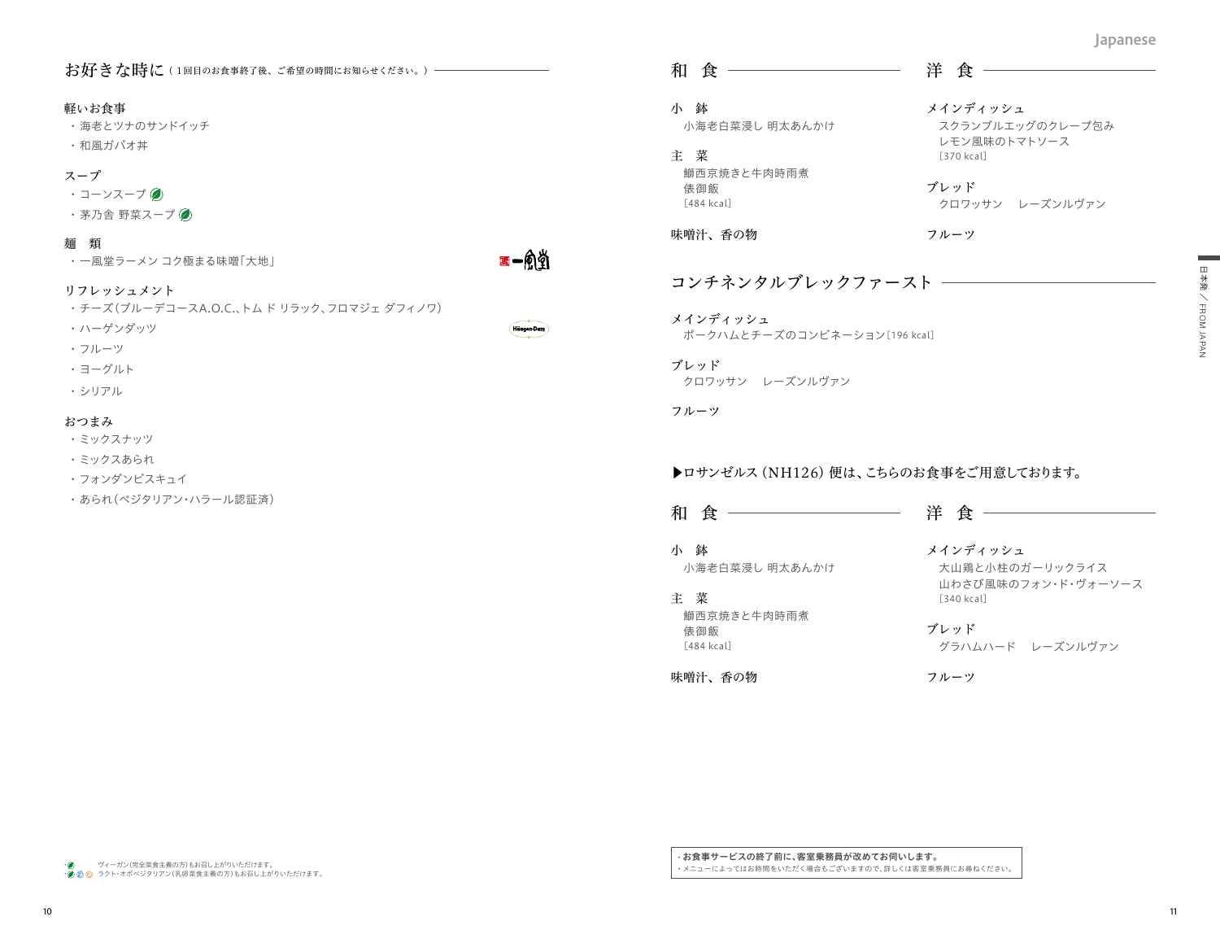#### お好きな時に (1回目のお食事終了後、ご希望の時間にお知らせください。)–

#### 軽いお食事

・ 海老とツナのサンドイッチ

・ 和風ガパオ丼

# スープ

- ・コーンスープ ◎
- ・茅乃舎 野菜スープ ②

#### 麺 類

・ 一風堂ラーメン コク極まる味噌「大地」

■一角钓

**Häggen Daz** 

# リフレッシュメント

- ・ チーズ(ブルーデコースA.O.C.、トム ド リラック、フロマジェ ダフィノワ)
- ・ ハーゲンダッツ
- ・ フルーツ
- ・ ヨーグルト
- ・ シリアル

#### おつまみ

- ・ ミックスナッツ
- ・ ミックスあられ
- ・ フォンダンビスキュイ
- ・ あられ(ベジタリアン・ハラール認証済)

# 和 食 洋 食

小 鉢 小海老白菜浸し 明太あんかけ

主 菜 鰤西京焼きと牛肉時雨煮 俵御飯

[484 kcal] 味噌汁、香の物

フルーツ

ブレッド

メインディッシュ

[370 kcal]

スクランブルエッグのクレープ包み

クロワッサン レーズンルヴァン

レモン風味のトマトソース

# コンチネンタルブレックファースト

メインディッシュ ポークハムとチーズのコンビネーション[196 kcal]

ブレッド クロワッサン レーズンルヴァン

フルーツ

# ▶ロサンゼルス (NH126) 便は、こちらのお食事をご用意しております。

和 食 洋 食

小 鉢 小海老白菜浸し 明太あんかけ

主 菜 鰤西京焼きと牛肉時雨煮 俵御飯 [484 kcal]

味噌汁、香の物

メインディッシュ 大山鶏と小柱のガーリックライス 山わさび風味のフォン・ド・ヴォーソース [340 kcal]

ブレッド グラハムハード レーズンルヴァン

フルーツ

・ ヴィーガン(完全菜食主義の方)もお召し上がりいただけます。

・ ラクト・オボベジタリアン(乳卵菜食主義の方)もお召し上がりいただけます。

・ お食事サービスの終了前に、客室乗務員が改めてお伺いします。 ・ メニューによってはお時間をいただく場合もございますので、詳しくは客室乗務員にお尋ねください。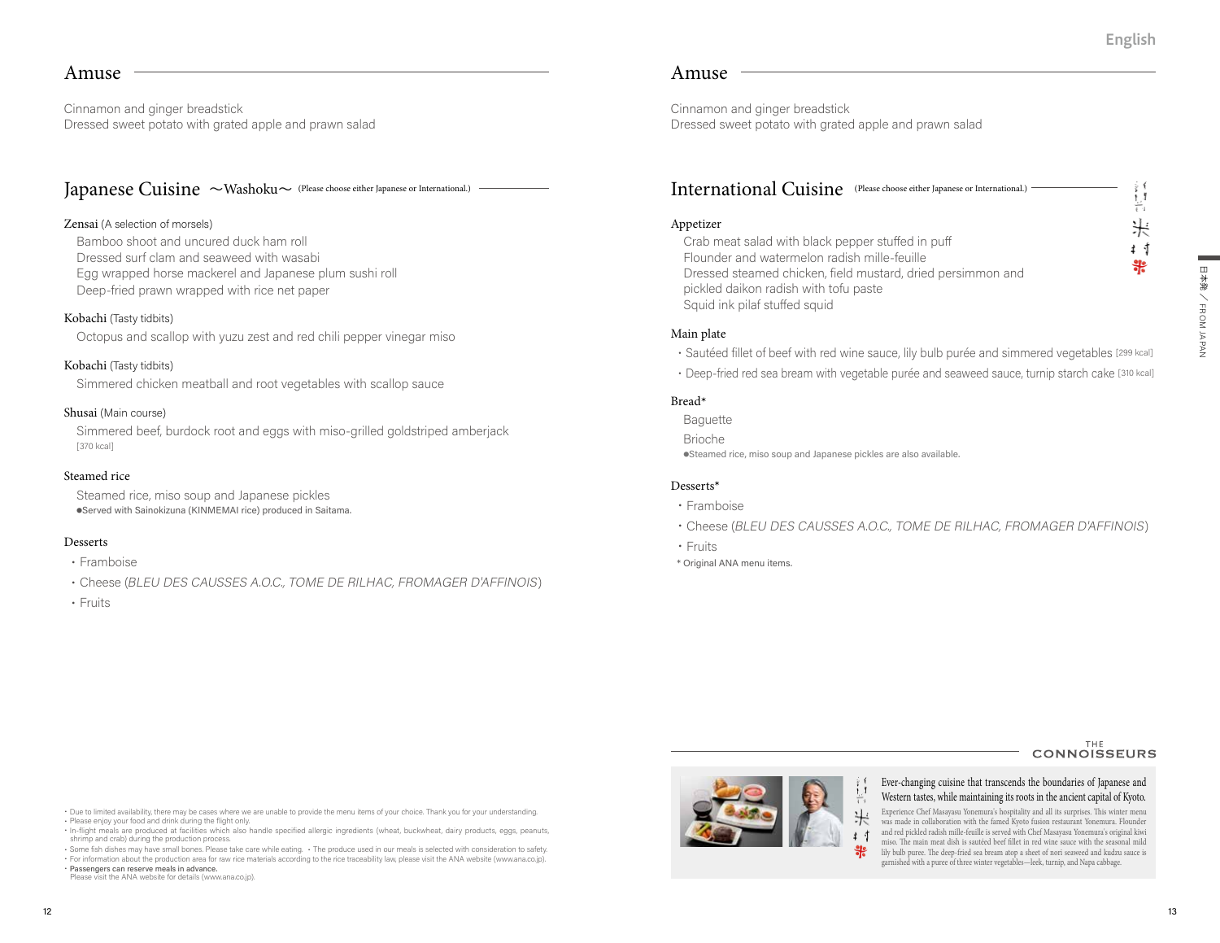t. I 盲 米 扌 寸 뽍

# Amuse

Cinnamon and ginger breadstick Dressed sweet potato with grated apple and prawn salad

# Japanese Cuisine 〜Washoku〜 (Please choose either Japanese or International.)

# Zensai (A selection of morsels)

Bamboo shoot and uncured duck ham roll Dressed surf clam and seaweed with wasabi Egg wrapped horse mackerel and Japanese plum sushi roll Deep-fried prawn wrapped with rice net paper

# Kobachi (Tasty tidbits)

Octopus and scallop with yuzu zest and red chili pepper vinegar miso

# Kobachi (Tasty tidbits)

Simmered chicken meatball and root vegetables with scallop sauce

#### Shusai (Main course)

Simmered beef, burdock root and eggs with miso-grilled goldstriped amberjack [370 kcal]

#### Steamed rice

Steamed rice, miso soup and Japanese pickles ●Served with Sainokizuna (KINMEMAI rice) produced in Saitama.

# Desserts

- ・Framboise
- ・Cheese (BLEU DES CAUSSES A.O.C., TOME DE RILHAC, FROMAGER D'AFFINOIS)
- ・Fruits

# Amuse

Cinnamon and ginger breadstick Dressed sweet potato with grated apple and prawn salad

# International Cuisine (Please choose either Japanese or International.)

# Appetizer

Crab meat salad with black pepper stuffed in puff Flounder and watermelon radish mille-feuille Dressed steamed chicken, field mustard, dried persimmon and pickled daikon radish with tofu paste Squid ink pilaf stuffed squid

#### Main plate

- ・Sautéed fillet of beef with red wine sauce, lily bulb purée and simmered vegetables [299 kcal]
- ・Deep-fried red sea bream with vegetable purée and seaweed sauce, turnip starch cake [310 kcal]

#### Bread**\***

Baguette Brioche ●Steamed rice, miso soup and Japanese pickles are also available.

#### Desserts**\***

- ・Framboise
- ・Cheese (BLEU DES CAUSSES A.O.C., TOME DE RILHAC, FROMAGER D'AFFINOIS)
- ・Fruits
- \* Original ANA menu items.

# **CONNOISSEURS**

・Due to limited availability, there may be cases where we are unable to provide the menu items of your choice. Thank you for your understanding. ・Please enjoy your food and drink during the flight only.

・In-flight meals are produced at facilities which also handle specified allergic ingredients (wheat, buckwheat, dairy products, eggs, peanuts, shrimp and crab) during the production process.

・Some fish dishes may have small bones. Please take care while eating. ・The produce used in our meals is selected with consideration to safety. ・For information about the production area for raw rice materials according to the rice traceability law, please visit the ANA website (www.ana.co.jp). ・Passengers can reserve meals in advance.



# Ever-changing cuisine that transcends the boundaries of Japanese and

Western tastes, while maintaining its roots in the ancient capital of Kyoto.米 Experience Chef Masayasu Yonemura's hospitality and all its surprises. This winter menu was made in collaboration with the famed Kyoto fusion restaurant Yonemura. Flounder and red pickled radish mille-feuille is served with Chef Masayasu Yonemura's original kiwi miso. The main meat dish is sautéed beef fillet in red wine sauce with the seasonal mild lily bulb puree. The deep-fried sea bream atop a sheet of nori seaweed and kudzu sauce is garnished with a puree of three winter vegetables—leek, turnip, and Napa cabbage.

Please visit the ANA website for details (www.ana.co.jp).